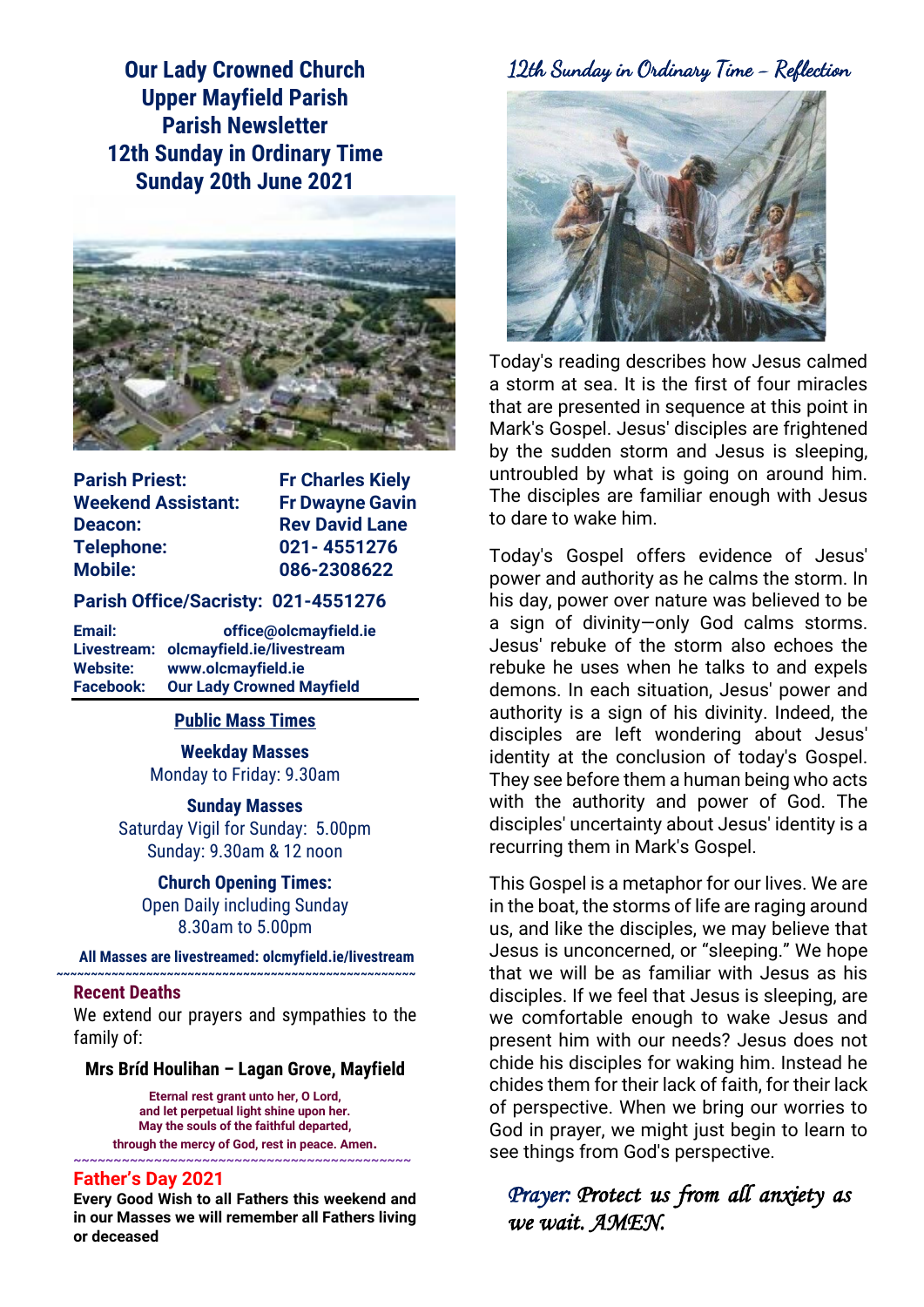**Our Lady Crowned Church Upper Mayfield Parish Parish Newsletter 12th Sunday in Ordinary Time Sunday 20th June 2021**



| <b>Parish Priest:</b>     | <b>Fr Charles Kiely</b> |
|---------------------------|-------------------------|
| <b>Weekend Assistant:</b> | <b>Fr Dwayne Gavin</b>  |
| Deacon:                   | <b>Rev David Lane</b>   |
| <b>Telephone:</b>         | 021-4551276             |
| <b>Mobile:</b>            | 086-2308622             |

#### **Parish Office/Sacristy: 021-4551276**

**Email: office@olcmayfield.ie Livestream: olcmayfield.ie/livestream Website: www.olcmayfield.ie Facebook: Our Lady Crowned Mayfield**

#### **Public Mass Times**

**Weekday Masses** Monday to Friday: 9.30am

**Sunday Masses** Saturday Vigil for Sunday: 5.00pm Sunday: 9.30am & 12 noon

**Church Opening Times:** Open Daily including Sunday 8.30am to 5.00pm

**All Masses are livestreamed: olcmyfield.ie/livestream ~~~~~~~~~~~~~~~~~~~~~~~~~~~~~~~~~~~~~~~~~~~~~~~~~~~~**

#### **Recent Deaths**

We extend our prayers and sympathies to the family of:

#### **Mrs Bríd Houlihan – Lagan Grove, Mayfield**

**Eternal rest grant unto her, O Lord, and let perpetual light shine upon her. May the souls of the faithful departed, through the mercy of God, rest in peace. Amen. ~~~~~~~~~~~~~~~~~~~~~~~~~~~~~~~~~~~~~~~~~~**

#### **Father's Day 2021**

**Every Good Wish to all Fathers this weekend and in our Masses we will remember all Fathers living or deceased** 

## 12th Sunday in Ordinary Time - Reflection



Today's reading describes how Jesus calmed a storm at sea. It is the first of four miracles that are presented in sequence at this point in Mark's Gospel. Jesus' disciples are frightened by the sudden storm and Jesus is sleeping, untroubled by what is going on around him. The disciples are familiar enough with Jesus to dare to wake him.

Today's Gospel offers evidence of Jesus' power and authority as he calms the storm. In his day, power over nature was believed to be a sign of divinity—only God calms storms. Jesus' rebuke of the storm also echoes the rebuke he uses when he talks to and expels demons. In each situation, Jesus' power and authority is a sign of his divinity. Indeed, the disciples are left wondering about Jesus' identity at the conclusion of today's Gospel. They see before them a human being who acts with the authority and power of God. The disciples' uncertainty about Jesus' identity is a recurring them in Mark's Gospel.

This Gospel is a metaphor for our lives. We are in the boat, the storms of life are raging around us, and like the disciples, we may believe that Jesus is unconcerned, or "sleeping." We hope that we will be as familiar with Jesus as his disciples. If we feel that Jesus is sleeping, are we comfortable enough to wake Jesus and present him with our needs? Jesus does not chide his disciples for waking him. Instead he chides them for their lack of faith, for their lack of perspective. When we bring our worries to God in prayer, we might just begin to learn to see things from God's perspective.

# *Prayer: Protect us from all anxiety as we wait. AMEN.*